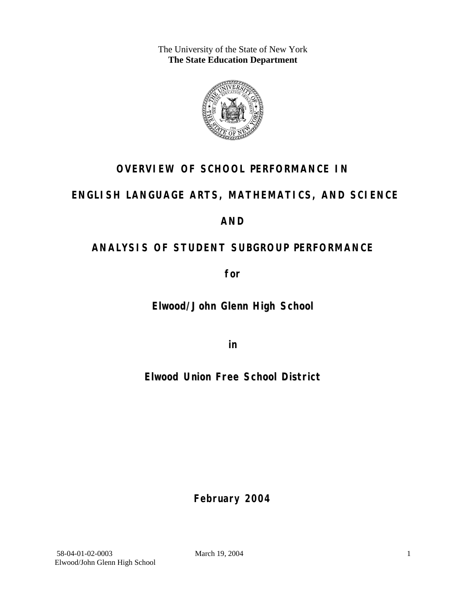The University of the State of New York **The State Education Department** 



# **OVERVIEW OF SCHOOL PERFORMANCE IN**

# **ENGLISH LANGUAGE ARTS, MATHEMATICS, AND SCIENCE**

# **AND**

# **ANALYSIS OF STUDENT SUBGROUP PERFORMANCE**

**for** 

**Elwood/John Glenn High School**

**in** 

**Elwood Union Free School District**

**February 2004**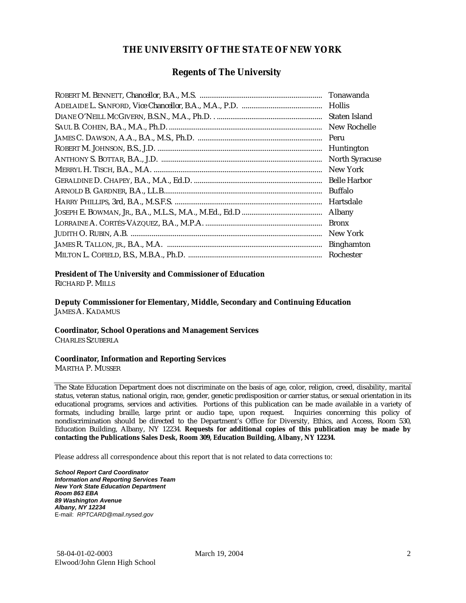### **THE UNIVERSITY OF THE STATE OF NEW YORK**

### **Regents of The University**

| Tonawanda             |
|-----------------------|
| <b>Hollis</b>         |
| Staten Island         |
| New Rochelle          |
| Peru                  |
| Huntington            |
| <b>North Syracuse</b> |
| New York              |
| <b>Belle Harbor</b>   |
| Buffalo               |
| Hartsdale             |
| Albany                |
| <b>Bronx</b>          |
| New York              |
| <b>Binghamton</b>     |
| Rochester             |

#### **President of The University and Commissioner of Education**

RICHARD P. MILLS

**Deputy Commissioner for Elementary, Middle, Secondary and Continuing Education**  JAMES A. KADAMUS

#### **Coordinator, School Operations and Management Services**

CHARLES SZUBERLA

#### **Coordinator, Information and Reporting Services**

MARTHA P. MUSSER

The State Education Department does not discriminate on the basis of age, color, religion, creed, disability, marital status, veteran status, national origin, race, gender, genetic predisposition or carrier status, or sexual orientation in its educational programs, services and activities. Portions of this publication can be made available in a variety of formats, including braille, large print or audio tape, upon request. Inquiries concerning this policy of nondiscrimination should be directed to the Department's Office for Diversity, Ethics, and Access, Room 530, Education Building, Albany, NY 12234. **Requests for additional copies of this publication may be made by contacting the Publications Sales Desk, Room 309, Education Building, Albany, NY 12234.** 

Please address all correspondence about this report that is not related to data corrections to:

*School Report Card Coordinator Information and Reporting Services Team New York State Education Department Room 863 EBA 89 Washington Avenue Albany, NY 12234*  E-mail: *RPTCARD@mail.nysed.gov*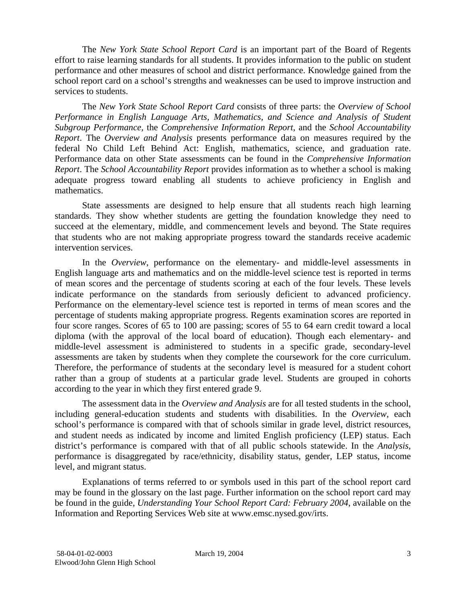The *New York State School Report Card* is an important part of the Board of Regents effort to raise learning standards for all students. It provides information to the public on student performance and other measures of school and district performance. Knowledge gained from the school report card on a school's strengths and weaknesses can be used to improve instruction and services to students.

The *New York State School Report Card* consists of three parts: the *Overview of School Performance in English Language Arts, Mathematics, and Science and Analysis of Student Subgroup Performance,* the *Comprehensive Information Report,* and the *School Accountability Report*. The *Overview and Analysis* presents performance data on measures required by the federal No Child Left Behind Act: English, mathematics, science, and graduation rate. Performance data on other State assessments can be found in the *Comprehensive Information Report*. The *School Accountability Report* provides information as to whether a school is making adequate progress toward enabling all students to achieve proficiency in English and mathematics.

State assessments are designed to help ensure that all students reach high learning standards. They show whether students are getting the foundation knowledge they need to succeed at the elementary, middle, and commencement levels and beyond. The State requires that students who are not making appropriate progress toward the standards receive academic intervention services.

In the *Overview*, performance on the elementary- and middle-level assessments in English language arts and mathematics and on the middle-level science test is reported in terms of mean scores and the percentage of students scoring at each of the four levels. These levels indicate performance on the standards from seriously deficient to advanced proficiency. Performance on the elementary-level science test is reported in terms of mean scores and the percentage of students making appropriate progress. Regents examination scores are reported in four score ranges. Scores of 65 to 100 are passing; scores of 55 to 64 earn credit toward a local diploma (with the approval of the local board of education). Though each elementary- and middle-level assessment is administered to students in a specific grade, secondary-level assessments are taken by students when they complete the coursework for the core curriculum. Therefore, the performance of students at the secondary level is measured for a student cohort rather than a group of students at a particular grade level. Students are grouped in cohorts according to the year in which they first entered grade 9.

The assessment data in the *Overview and Analysis* are for all tested students in the school, including general-education students and students with disabilities. In the *Overview*, each school's performance is compared with that of schools similar in grade level, district resources, and student needs as indicated by income and limited English proficiency (LEP) status. Each district's performance is compared with that of all public schools statewide. In the *Analysis*, performance is disaggregated by race/ethnicity, disability status, gender, LEP status, income level, and migrant status.

Explanations of terms referred to or symbols used in this part of the school report card may be found in the glossary on the last page. Further information on the school report card may be found in the guide, *Understanding Your School Report Card: February 2004*, available on the Information and Reporting Services Web site at www.emsc.nysed.gov/irts.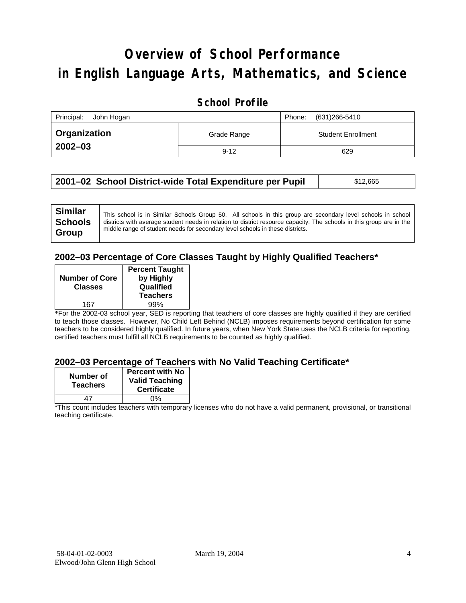# **Overview of School Performance in English Language Arts, Mathematics, and Science**

### **School Profile**

| Principal:<br>John Hogan | Phone:      | (631)266-5410 |                           |
|--------------------------|-------------|---------------|---------------------------|
| <b>Organization</b>      | Grade Range |               | <b>Student Enrollment</b> |
| $2002 - 03$              | $9 - 12$    |               | 629                       |

| 2001–02 School District-wide Total Expenditure per Pupil | \$12,665 |
|----------------------------------------------------------|----------|
|                                                          |          |

### **2002–03 Percentage of Core Classes Taught by Highly Qualified Teachers\***

| <b>Number of Core</b><br><b>Classes</b> | <b>Percent Taught</b><br>by Highly<br>Qualified<br><b>Teachers</b> |
|-----------------------------------------|--------------------------------------------------------------------|
|                                         |                                                                    |
| 167                                     | 99%                                                                |
|                                         |                                                                    |

\*For the 2002-03 school year, SED is reporting that teachers of core classes are highly qualified if they are certified to teach those classes. However, No Child Left Behind (NCLB) imposes requirements beyond certification for some teachers to be considered highly qualified. In future years, when New York State uses the NCLB criteria for reporting, certified teachers must fulfill all NCLB requirements to be counted as highly qualified.

#### **2002–03 Percentage of Teachers with No Valid Teaching Certificate\***

| Number of<br><b>Teachers</b> | <b>Percent with No</b><br><b>Valid Teaching</b><br><b>Certificate</b> |
|------------------------------|-----------------------------------------------------------------------|
|                              | ሰ%                                                                    |

\*This count includes teachers with temporary licenses who do not have a valid permanent, provisional, or transitional teaching certificate.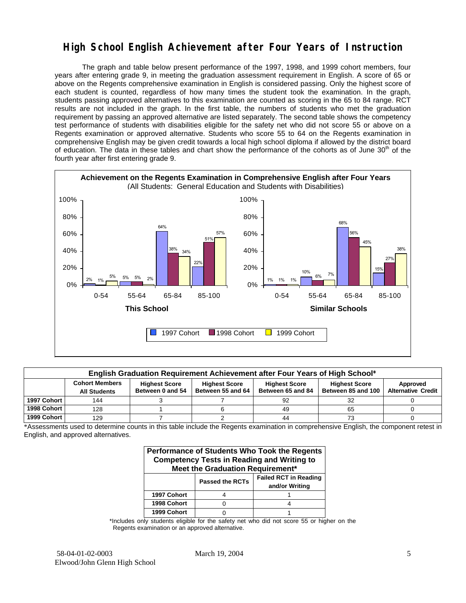### **High School English Achievement after Four Years of Instruction**

The graph and table below present performance of the 1997, 1998, and 1999 cohort members, four years after entering grade 9, in meeting the graduation assessment requirement in English. A score of 65 or above on the Regents comprehensive examination in English is considered passing. Only the highest score of each student is counted, regardless of how many times the student took the examination. In the graph, students passing approved alternatives to this examination are counted as scoring in the 65 to 84 range. RCT results are not included in the graph. In the first table, the numbers of students who met the graduation requirement by passing an approved alternative are listed separately. The second table shows the competency test performance of students with disabilities eligible for the safety net who did not score 55 or above on a Regents examination or approved alternative. Students who score 55 to 64 on the Regents examination in comprehensive English may be given credit towards a local high school diploma if allowed by the district board of education. The data in these tables and chart show the performance of the cohorts as of June  $30<sup>th</sup>$  of the fourth year after first entering grade 9.



| English Graduation Requirement Achievement after Four Years of High School* |                                                                                                                                                                                                                                                                           |  |  |    |    |  |  |  |  |
|-----------------------------------------------------------------------------|---------------------------------------------------------------------------------------------------------------------------------------------------------------------------------------------------------------------------------------------------------------------------|--|--|----|----|--|--|--|--|
|                                                                             | <b>Cohort Members</b><br><b>Highest Score</b><br><b>Highest Score</b><br><b>Highest Score</b><br><b>Highest Score</b><br>Approved<br>Between 55 and 64<br>Between 85 and 100<br>Between 0 and 54<br>Between 65 and 84<br><b>Alternative Credit</b><br><b>All Students</b> |  |  |    |    |  |  |  |  |
| 1997 Cohort                                                                 | 144                                                                                                                                                                                                                                                                       |  |  | 92 | 32 |  |  |  |  |
| 1998 Cohort                                                                 | 128                                                                                                                                                                                                                                                                       |  |  | 49 | 65 |  |  |  |  |
| 1999 Cohort                                                                 | 129                                                                                                                                                                                                                                                                       |  |  |    |    |  |  |  |  |

\*Assessments used to determine counts in this table include the Regents examination in comprehensive English, the component retest in English, and approved alternatives.

| Performance of Students Who Took the Regents<br><b>Competency Tests in Reading and Writing to</b><br>Meet the Graduation Requirement* |                                                |  |  |  |  |  |  |
|---------------------------------------------------------------------------------------------------------------------------------------|------------------------------------------------|--|--|--|--|--|--|
|                                                                                                                                       | <b>Failed RCT in Reading</b><br>and/or Writing |  |  |  |  |  |  |
| 1997 Cohort                                                                                                                           |                                                |  |  |  |  |  |  |
| 1998 Cohort                                                                                                                           |                                                |  |  |  |  |  |  |
| 1999 Cohort                                                                                                                           |                                                |  |  |  |  |  |  |

\*Includes only students eligible for the safety net who did not score 55 or higher on the Regents examination or an approved alternative.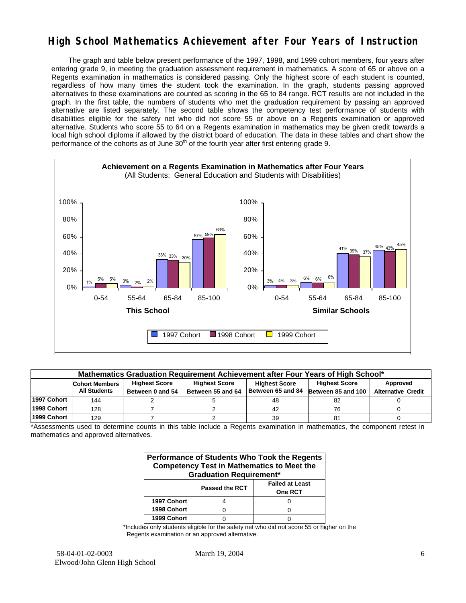## **High School Mathematics Achievement after Four Years of Instruction**

The graph and table below present performance of the 1997, 1998, and 1999 cohort members, four years after entering grade 9, in meeting the graduation assessment requirement in mathematics. A score of 65 or above on a Regents examination in mathematics is considered passing. Only the highest score of each student is counted, regardless of how many times the student took the examination. In the graph, students passing approved alternatives to these examinations are counted as scoring in the 65 to 84 range. RCT results are not included in the graph. In the first table, the numbers of students who met the graduation requirement by passing an approved alternative are listed separately. The second table shows the competency test performance of students with disabilities eligible for the safety net who did not score 55 or above on a Regents examination or approved alternative. Students who score 55 to 64 on a Regents examination in mathematics may be given credit towards a local high school diploma if allowed by the district board of education. The data in these tables and chart show the performance of the cohorts as of June  $30<sup>th</sup>$  of the fourth year after first entering grade 9.



| Mathematics Graduation Requirement Achievement after Four Years of High School* |                                                                                                                                   |                  |                   |                   |                    |                           |  |  |  |
|---------------------------------------------------------------------------------|-----------------------------------------------------------------------------------------------------------------------------------|------------------|-------------------|-------------------|--------------------|---------------------------|--|--|--|
|                                                                                 | <b>Highest Score</b><br><b>Highest Score</b><br><b>Highest Score</b><br>Approved<br><b>Cohort Members</b><br><b>Highest Score</b> |                  |                   |                   |                    |                           |  |  |  |
|                                                                                 | <b>All Students</b>                                                                                                               | Between 0 and 54 | Between 55 and 64 | Between 65 and 84 | Between 85 and 100 | <b>Alternative Credit</b> |  |  |  |
| 1997 Cohort                                                                     | 144                                                                                                                               |                  |                   | 48                |                    |                           |  |  |  |
| 1998 Cohort                                                                     | 128                                                                                                                               |                  |                   | 42                |                    |                           |  |  |  |
| 1999 Cohort                                                                     | 129                                                                                                                               |                  |                   | 39                |                    |                           |  |  |  |

\*Assessments used to determine counts in this table include a Regents examination in mathematics, the component retest in mathematics and approved alternatives.

| Performance of Students Who Took the Regents<br><b>Competency Test in Mathematics to Meet the</b><br><b>Graduation Requirement*</b> |                                                            |  |  |  |  |  |  |
|-------------------------------------------------------------------------------------------------------------------------------------|------------------------------------------------------------|--|--|--|--|--|--|
|                                                                                                                                     | <b>Failed at Least</b><br><b>Passed the RCT</b><br>One RCT |  |  |  |  |  |  |
| 1997 Cohort                                                                                                                         |                                                            |  |  |  |  |  |  |
| 1998 Cohort                                                                                                                         |                                                            |  |  |  |  |  |  |
| 1999 Cohort                                                                                                                         |                                                            |  |  |  |  |  |  |

\*Includes only students eligible for the safety net who did not score 55 or higher on the Regents examination or an approved alternative.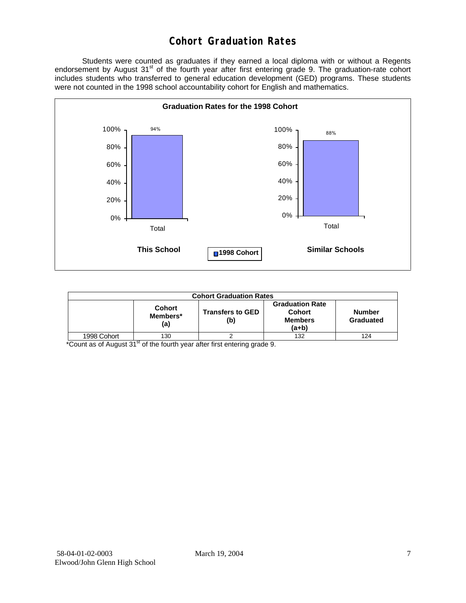## **Cohort Graduation Rates**

 Students were counted as graduates if they earned a local diploma with or without a Regents endorsement by August 31<sup>st</sup> of the fourth year after first entering grade 9. The graduation-rate cohort includes students who transferred to general education development (GED) programs. These students were not counted in the 1998 school accountability cohort for English and mathematics.



| <b>Cohort Graduation Rates</b> |                                  |                                |                                                                    |                            |  |  |
|--------------------------------|----------------------------------|--------------------------------|--------------------------------------------------------------------|----------------------------|--|--|
|                                | <b>Cohort</b><br>Members*<br>(a) | <b>Transfers to GED</b><br>(b) | <b>Graduation Rate</b><br><b>Cohort</b><br><b>Members</b><br>(a+b) | <b>Number</b><br>Graduated |  |  |
| 1998 Cohort                    | 130                              |                                | 132                                                                | 124                        |  |  |

\*Count as of August 31<sup>st</sup> of the fourth year after first entering grade 9.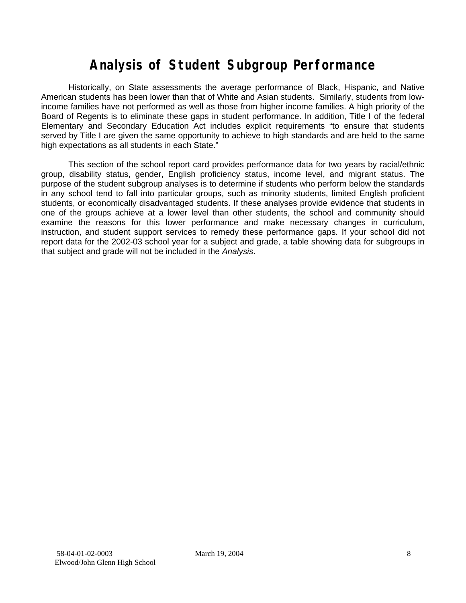# **Analysis of Student Subgroup Performance**

Historically, on State assessments the average performance of Black, Hispanic, and Native American students has been lower than that of White and Asian students. Similarly, students from lowincome families have not performed as well as those from higher income families. A high priority of the Board of Regents is to eliminate these gaps in student performance. In addition, Title I of the federal Elementary and Secondary Education Act includes explicit requirements "to ensure that students served by Title I are given the same opportunity to achieve to high standards and are held to the same high expectations as all students in each State."

This section of the school report card provides performance data for two years by racial/ethnic group, disability status, gender, English proficiency status, income level, and migrant status. The purpose of the student subgroup analyses is to determine if students who perform below the standards in any school tend to fall into particular groups, such as minority students, limited English proficient students, or economically disadvantaged students. If these analyses provide evidence that students in one of the groups achieve at a lower level than other students, the school and community should examine the reasons for this lower performance and make necessary changes in curriculum, instruction, and student support services to remedy these performance gaps. If your school did not report data for the 2002-03 school year for a subject and grade, a table showing data for subgroups in that subject and grade will not be included in the *Analysis*.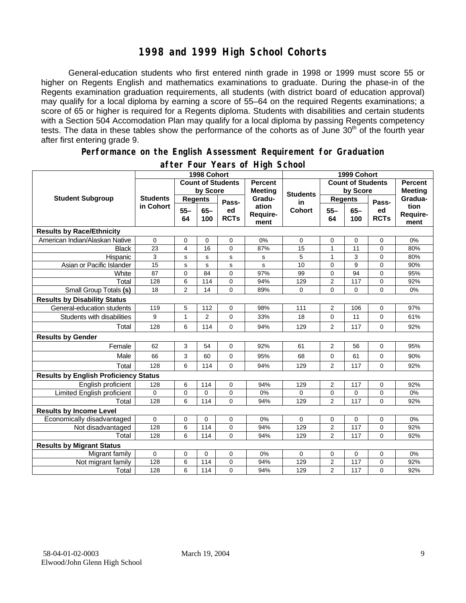### **1998 and 1999 High School Cohorts**

General-education students who first entered ninth grade in 1998 or 1999 must score 55 or higher on Regents English and mathematics examinations to graduate. During the phase-in of the Regents examination graduation requirements, all students (with district board of education approval) may qualify for a local diploma by earning a score of 55–64 on the required Regents examinations; a score of 65 or higher is required for a Regents diploma. Students with disabilities and certain students with a Section 504 Accomodation Plan may qualify for a local diploma by passing Regents competency tests. The data in these tables show the performance of the cohorts as of June 30<sup>th</sup> of the fourth year after first entering grade 9.

#### **Performance on the English Assessment Requirement for Graduation**

|                                              | 1998 Cohort     |                                      |                 |                | 1999 Cohort       |                          |                  |                                  |                |                  |
|----------------------------------------------|-----------------|--------------------------------------|-----------------|----------------|-------------------|--------------------------|------------------|----------------------------------|----------------|------------------|
|                                              |                 | <b>Count of Students</b><br>by Score |                 | <b>Percent</b> |                   | <b>Count of Students</b> |                  | <b>Percent</b><br><b>Meeting</b> |                |                  |
|                                              |                 |                                      |                 | <b>Meeting</b> | <b>Students</b>   | by Score                 |                  |                                  |                |                  |
| <b>Student Subgroup</b>                      | <b>Students</b> | <b>Regents</b>                       | Gradu-<br>Pass- | in             | <b>Regents</b>    |                          | Pass-            | Gradua-                          |                |                  |
|                                              | in Cohort       | $55 -$                               | $65-$           | ed             | ation<br>Require- | <b>Cohort</b>            | $55 -$           | $65 -$                           | ed             | tion<br>Require- |
|                                              |                 | 64                                   | 100             | <b>RCTs</b>    | ment              |                          | 64               | 100                              | <b>RCTs</b>    | ment             |
| <b>Results by Race/Ethnicity</b>             |                 |                                      |                 |                |                   |                          |                  |                                  |                |                  |
| American Indian/Alaskan Native               | 0               | 0                                    | $\mathbf 0$     | $\mathbf 0$    | 0%                | 0                        | 0                | 0                                | $\mathbf 0$    | $0\%$            |
| <b>Black</b>                                 | 23              | $\overline{4}$                       | 16              | $\Omega$       | 87%               | 15                       | $\mathbf{1}$     | 11                               | $\overline{0}$ | 80%              |
| Hispanic                                     | 3               | s                                    | s               | s              | s                 | 5                        | $\mathbf{1}$     | 3                                | 0              | 80%              |
| Asian or Pacific Islander                    | 15              | s                                    | s               | s              | s                 | 10                       | $\overline{0}$   | 9                                | $\overline{0}$ | 90%              |
| White                                        | 87              | 0                                    | 84              | 0              | 97%               | 99                       | $\mathsf 0$      | 94                               | 0              | 95%              |
| Total                                        | 128             | 6                                    | 114             | $\mathbf 0$    | 94%               | 129                      | $\overline{c}$   | 117                              | $\mathbf 0$    | 92%              |
| Small Group Totals (s)                       | 18              | $\overline{2}$                       | 14              | $\Omega$       | 89%               | 0                        | 0                | 0                                | $\Omega$       | 0%               |
| <b>Results by Disability Status</b>          |                 |                                      |                 |                |                   |                          |                  |                                  |                |                  |
| General-education students                   | 119             | 5                                    | 112             | 0              | 98%               | 111                      | $\overline{2}$   | 106                              | 0              | 97%              |
| Students with disabilities                   | 9               | $\mathbf{1}$                         | $\overline{2}$  | 0              | 33%               | 18                       | 0                | 11                               | 0              | 61%              |
| Total                                        | 128             | 6                                    | 114             | $\mathbf 0$    | 94%               | 129                      | $\overline{2}$   | 117                              | 0              | 92%              |
| <b>Results by Gender</b>                     |                 |                                      |                 |                |                   |                          |                  |                                  |                |                  |
| Female                                       | 62              | 3                                    | 54              | $\Omega$       | 92%               | 61                       | $\overline{2}$   | 56                               | $\Omega$       | 95%              |
| Male                                         | 66              | 3                                    | 60              | $\Omega$       | 95%               | 68                       | 0                | 61                               | $\mathbf 0$    | 90%              |
| Total                                        | 128             | 6                                    | 114             | $\mathbf 0$    | 94%               | 129                      | $\overline{2}$   | 117                              | 0              | 92%              |
| <b>Results by English Proficiency Status</b> |                 |                                      |                 |                |                   |                          |                  |                                  |                |                  |
| English proficient                           | 128             | 6                                    | 114             | $\mathbf 0$    | 94%               | 129                      | 2                | 117                              | $\mathbf 0$    | 92%              |
| Limited English proficient                   | 0               | 0                                    | 0               | 0              | 0%                | 0                        | $\mathbf 0$      | 0                                | 0              | 0%               |
| Total                                        | 128             | 6                                    | 114             | $\Omega$       | 94%               | 129                      | $\overline{2}$   | 117                              | 0              | 92%              |
| <b>Results by Income Level</b>               |                 |                                      |                 |                |                   |                          |                  |                                  |                |                  |
| Economically disadvantaged                   | 0               | 0                                    | 0               | $\mathbf 0$    | 0%                | 0                        | 0                | 0                                | 0              | 0%               |
| Not disadvantaged                            | 128             | 6                                    | 114             | $\mathbf 0$    | 94%               | 129                      | $\overline{c}$   | 117                              | 0              | 92%              |
| Total                                        | 128             | 6                                    | 114             | $\Omega$       | 94%               | 129                      | $\overline{2}$   | 117                              | $\Omega$       | 92%              |
| <b>Results by Migrant Status</b>             |                 |                                      |                 |                |                   |                          |                  |                                  |                |                  |
| Migrant family                               | $\mathbf 0$     | 0                                    | 0               | $\mathbf 0$    | 0%                | 0                        | 0                | 0                                | $\mathbf 0$    | 0%               |
| Not migrant family                           | 128             | 6                                    | 114             | $\mathbf 0$    | 94%               | 129                      | $\boldsymbol{2}$ | 117                              | $\mathbf 0$    | 92%              |
| Total                                        | 128             | 6                                    | 114             | $\Omega$       | 94%               | 129                      | $\overline{2}$   | 117                              | $\Omega$       | 92%              |

### **after Four Years of High School**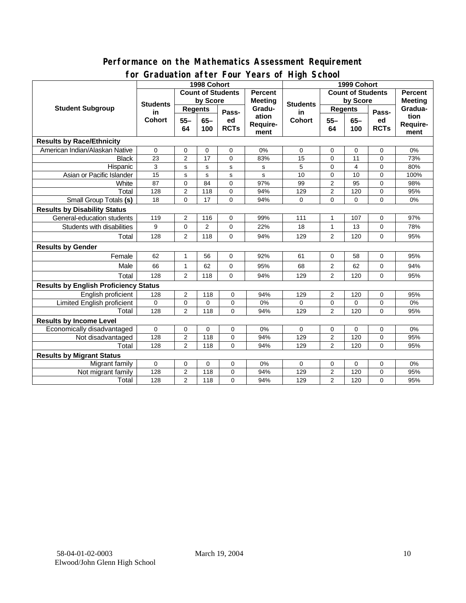### **Performance on the Mathematics Assessment Requirement for Graduation after Four Years of High School**

|                                              | 31 aaaacion aftor Foar<br>rears or right concor<br>1998 Cohort |                          |                |             |                | 1999 Cohort           |                          |                         |                |                                  |  |  |
|----------------------------------------------|----------------------------------------------------------------|--------------------------|----------------|-------------|----------------|-----------------------|--------------------------|-------------------------|----------------|----------------------------------|--|--|
|                                              |                                                                | <b>Count of Students</b> |                |             | Percent        |                       | <b>Count of Students</b> |                         |                | <b>Percent</b><br><b>Meeting</b> |  |  |
| <b>Student Subgroup</b>                      | <b>Students</b><br>in<br><b>Cohort</b>                         | by Score                 |                |             | <b>Meeting</b> |                       | by Score                 |                         |                |                                  |  |  |
|                                              |                                                                | <b>Regents</b>           |                | Pass-       | Gradu-         | <b>Students</b><br>in | <b>Regents</b>           |                         | Pass-          | Gradua-                          |  |  |
|                                              |                                                                | $55 -$                   | $65 -$         | ed          | ation          | <b>Cohort</b>         | $55 -$                   | $65-$                   | ed             | tion                             |  |  |
|                                              |                                                                | 64                       | 100            | <b>RCTs</b> | Require-       |                       | 64                       | 100                     | <b>RCTs</b>    | Require-                         |  |  |
|                                              |                                                                |                          |                |             | ment           |                       |                          |                         |                | ment                             |  |  |
| <b>Results by Race/Ethnicity</b>             |                                                                |                          |                |             |                |                       |                          |                         |                |                                  |  |  |
| American Indian/Alaskan Native               | $\Omega$                                                       | $\mathbf 0$              | $\mathbf 0$    | $\Omega$    | 0%             | $\Omega$              | 0                        | $\mathbf 0$             | $\Omega$       | 0%                               |  |  |
| <b>Black</b>                                 | 23                                                             | $\overline{c}$           | 17             | $\Omega$    | 83%            | 15                    | $\Omega$                 | 11                      | $\overline{0}$ | 73%                              |  |  |
| Hispanic                                     | 3                                                              | s                        | s              | s           | s              | 5                     | $\mathbf 0$              | $\overline{\mathbf{4}}$ | 0              | 80%                              |  |  |
| Asian or Pacific Islander                    | 15                                                             | s                        | s              | $\sf s$     | s              | 10                    | $\mathbf 0$              | 10                      | $\mathbf 0$    | 100%                             |  |  |
| White                                        | $\overline{87}$                                                | $\mathbf 0$              | 84             | $\Omega$    | 97%            | 99                    | $\overline{2}$           | 95                      | 0              | 98%                              |  |  |
| Total                                        | 128                                                            | $\overline{2}$           | 118            | 0           | 94%            | 129                   | 2                        | 120                     | 0              | 95%                              |  |  |
| <b>Small Group Totals (s)</b>                | 18                                                             | $\Omega$                 | 17             | $\Omega$    | 94%            | $\Omega$              | $\Omega$                 | $\Omega$                | $\Omega$       | 0%                               |  |  |
| <b>Results by Disability Status</b>          |                                                                |                          |                |             |                |                       |                          |                         |                |                                  |  |  |
| General-education students                   | 119                                                            | $\overline{2}$           | 116            | 0           | 99%            | 111                   | 1                        | 107                     | 0              | 97%                              |  |  |
| Students with disabilities                   | 9                                                              | $\mathbf 0$              | $\overline{2}$ | $\mathbf 0$ | 22%            | 18                    | $\mathbf{1}$             | 13                      | 0              | 78%                              |  |  |
| Total                                        | 128                                                            | 2                        | 118            | $\Omega$    | 94%            | 129                   | 2                        | 120                     | 0              | 95%                              |  |  |
| <b>Results by Gender</b>                     |                                                                |                          |                |             |                |                       |                          |                         |                |                                  |  |  |
| Female                                       | 62                                                             | 1                        | 56             | $\mathbf 0$ | 92%            | 61                    | $\mathbf 0$              | 58                      | $\mathbf 0$    | 95%                              |  |  |
| Male                                         | 66                                                             | 1                        | 62             | $\mathbf 0$ | 95%            | 68                    | $\overline{2}$           | 62                      | $\mathbf 0$    | 94%                              |  |  |
| Total                                        | 128                                                            | 2                        | 118            | $\Omega$    | 94%            | 129                   | $\overline{2}$           | 120                     | 0              | 95%                              |  |  |
| <b>Results by English Proficiency Status</b> |                                                                |                          |                |             |                |                       |                          |                         |                |                                  |  |  |
| English proficient                           | 128                                                            | $\overline{2}$           | 118            | $\Omega$    | 94%            | 129                   | $\overline{2}$           | 120                     | $\mathbf 0$    | 95%                              |  |  |
| Limited English proficient                   | 0                                                              | $\mathbf 0$              | $\Omega$       | 0           | 0%             | 0                     | $\mathbf 0$              | $\mathbf 0$             | 0              | 0%                               |  |  |
| Total                                        | 128                                                            | $\overline{2}$           | 118            | $\Omega$    | 94%            | 129                   | $\overline{2}$           | 120                     | 0              | 95%                              |  |  |
| <b>Results by Income Level</b>               |                                                                |                          |                |             |                |                       |                          |                         |                |                                  |  |  |
| Economically disadvantaged                   | 0                                                              | 0                        | 0              | 0           | 0%             | 0                     | 0                        | 0                       | 0              | 0%                               |  |  |
| Not disadvantaged                            | 128                                                            | 2                        | 118            | 0           | 94%            | 129                   | 2                        | 120                     | 0              | 95%                              |  |  |
| Total                                        | 128                                                            | 2                        | 118            | $\Omega$    | 94%            | 129                   | $\overline{2}$           | 120                     | $\Omega$       | 95%                              |  |  |
| <b>Results by Migrant Status</b>             |                                                                |                          |                |             |                |                       |                          |                         |                |                                  |  |  |
| Migrant family                               | $\mathbf 0$                                                    | 0                        | 0              | 0           | 0%             | 0                     | 0                        | $\mathbf 0$             | 0              | 0%                               |  |  |
| Not migrant family                           | 128                                                            | 2                        | 118            | 0           | 94%            | 129                   | 2                        | 120                     | 0              | 95%                              |  |  |
| Total                                        | 128                                                            | $\overline{2}$           | 118            | 0           | 94%            | 129                   | $\overline{2}$           | 120                     | 0              | 95%                              |  |  |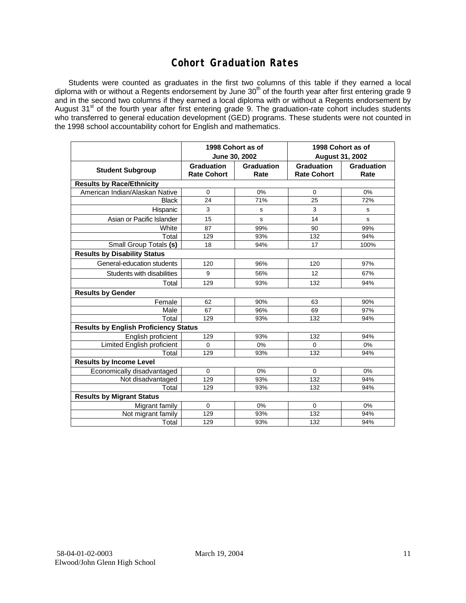### **Cohort Graduation Rates**

Students were counted as graduates in the first two columns of this table if they earned a local diploma with or without a Regents endorsement by June 30<sup>th</sup> of the fourth year after first entering grade 9 and in the second two columns if they earned a local diploma with or without a Regents endorsement by August 31<sup>st</sup> of the fourth year after first entering grade 9. The graduation-rate cohort includes students who transferred to general education development (GED) programs. These students were not counted in the 1998 school accountability cohort for English and mathematics.

|                                              |                                         | 1998 Cohort as of<br>June 30, 2002 | 1998 Cohort as of<br><b>August 31, 2002</b> |                           |  |  |  |  |  |  |
|----------------------------------------------|-----------------------------------------|------------------------------------|---------------------------------------------|---------------------------|--|--|--|--|--|--|
| <b>Student Subgroup</b>                      | <b>Graduation</b><br><b>Rate Cohort</b> | <b>Graduation</b><br>Rate          | <b>Graduation</b><br><b>Rate Cohort</b>     | <b>Graduation</b><br>Rate |  |  |  |  |  |  |
| <b>Results by Race/Ethnicity</b>             |                                         |                                    |                                             |                           |  |  |  |  |  |  |
| American Indian/Alaskan Native               | 0                                       | 0%                                 | 0                                           | 0%                        |  |  |  |  |  |  |
| <b>Black</b>                                 | 24                                      | 71%                                | 25                                          | 72%                       |  |  |  |  |  |  |
| Hispanic                                     | 3                                       | s                                  | 3                                           | S                         |  |  |  |  |  |  |
| Asian or Pacific Islander                    | 15                                      | s                                  | 14                                          | s                         |  |  |  |  |  |  |
| White                                        | 87                                      | 99%                                | 90                                          | 99%                       |  |  |  |  |  |  |
| Total                                        | 129                                     | 93%                                | 132                                         | 94%                       |  |  |  |  |  |  |
| Small Group Totals (s)                       | 18                                      | 94%                                | 17                                          | 100%                      |  |  |  |  |  |  |
| <b>Results by Disability Status</b>          |                                         |                                    |                                             |                           |  |  |  |  |  |  |
| General-education students                   | 120                                     | 96%                                | 120                                         | 97%                       |  |  |  |  |  |  |
| Students with disabilities                   | 9                                       | 56%                                | 12                                          | 67%                       |  |  |  |  |  |  |
| Total                                        | 129                                     | 93%                                | 132                                         | 94%                       |  |  |  |  |  |  |
| <b>Results by Gender</b>                     |                                         |                                    |                                             |                           |  |  |  |  |  |  |
| Female                                       | 62                                      | 90%                                | 63                                          | 90%                       |  |  |  |  |  |  |
| Male                                         | 67                                      | 96%                                | 69                                          | 97%                       |  |  |  |  |  |  |
| Total                                        | 129                                     | 93%                                | 132                                         | 94%                       |  |  |  |  |  |  |
| <b>Results by English Proficiency Status</b> |                                         |                                    |                                             |                           |  |  |  |  |  |  |
| English proficient                           | 129                                     | 93%                                | 132                                         | 94%                       |  |  |  |  |  |  |
| Limited English proficient                   | $\mathbf 0$                             | 0%                                 | 0                                           | 0%                        |  |  |  |  |  |  |
| Total                                        | 129                                     | 93%                                | 132                                         | 94%                       |  |  |  |  |  |  |
| <b>Results by Income Level</b>               |                                         |                                    |                                             |                           |  |  |  |  |  |  |
| Economically disadvantaged                   | $\mathbf 0$                             | 0%                                 | $\mathbf 0$                                 | 0%                        |  |  |  |  |  |  |
| Not disadvantaged                            | 129                                     | 93%                                | 132                                         | 94%                       |  |  |  |  |  |  |
| Total                                        | 129                                     | 93%                                | 132                                         | 94%                       |  |  |  |  |  |  |
| <b>Results by Migrant Status</b>             |                                         |                                    |                                             |                           |  |  |  |  |  |  |
| Migrant family                               | 0                                       | 0%                                 | $\Omega$                                    | 0%                        |  |  |  |  |  |  |
| Not migrant family                           | 129                                     | 93%                                | 132                                         | 94%                       |  |  |  |  |  |  |
| Total                                        | 129                                     | 93%                                | 132                                         | 94%                       |  |  |  |  |  |  |